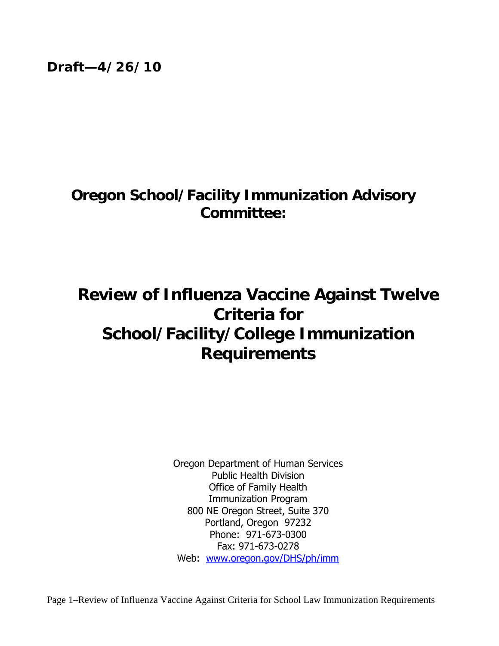**Draft—4/26/10** 

## **Oregon School/Facility Immunization Advisory Committee:**

# **Review of Influenza Vaccine Against Twelve Criteria for School/Facility/College Immunization Requirements**

Oregon Department of Human Services Public Health Division Office of Family Health Immunization Program 800 NE Oregon Street, Suite 370 Portland, Oregon 97232 Phone: 971-673-0300 Fax: 971-673-0278 Web: www.oregon.gov/DHS/ph/imm

Page 1–Review of Influenza Vaccine Against Criteria for School Law Immunization Requirements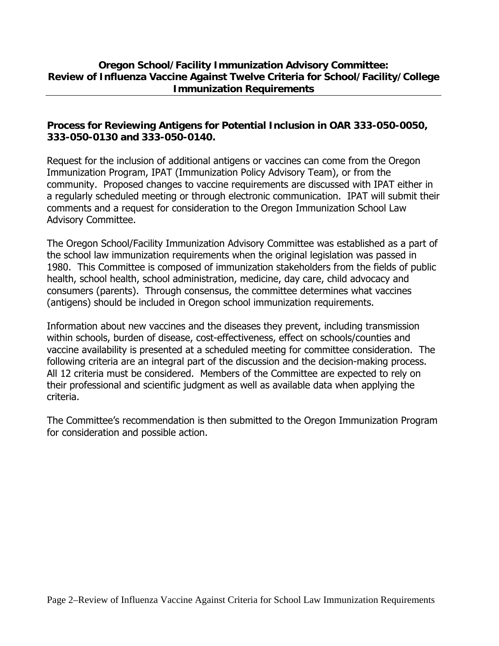#### **Oregon School/Facility Immunization Advisory Committee: Review of Influenza Vaccine Against Twelve Criteria for School/Facility/College Immunization Requirements**

#### **Process for Reviewing Antigens for Potential Inclusion in OAR 333-050-0050, 333-050-0130 and 333-050-0140.**

Request for the inclusion of additional antigens or vaccines can come from the Oregon Immunization Program, IPAT (Immunization Policy Advisory Team), or from the community. Proposed changes to vaccine requirements are discussed with IPAT either in a regularly scheduled meeting or through electronic communication. IPAT will submit their comments and a request for consideration to the Oregon Immunization School Law Advisory Committee.

The Oregon School/Facility Immunization Advisory Committee was established as a part of the school law immunization requirements when the original legislation was passed in 1980. This Committee is composed of immunization stakeholders from the fields of public health, school health, school administration, medicine, day care, child advocacy and consumers (parents). Through consensus, the committee determines what vaccines (antigens) should be included in Oregon school immunization requirements.

Information about new vaccines and the diseases they prevent, including transmission within schools, burden of disease, cost-effectiveness, effect on schools/counties and vaccine availability is presented at a scheduled meeting for committee consideration. The following criteria are an integral part of the discussion and the decision-making process. All 12 criteria must be considered. Members of the Committee are expected to rely on their professional and scientific judgment as well as available data when applying the criteria.

The Committee's recommendation is then submitted to the Oregon Immunization Program for consideration and possible action.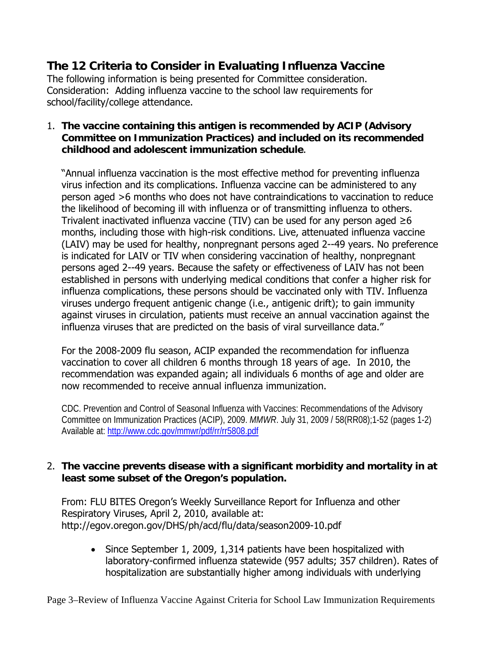### **The 12 Criteria to Consider in Evaluating Influenza Vaccine**

The following information is being presented for Committee consideration. Consideration: Adding influenza vaccine to the school law requirements for school/facility/college attendance.

#### 1. **The vaccine containing this antigen is recommended by ACIP (Advisory Committee on Immunization Practices) and included on its recommended childhood and adolescent immunization schedule**.

"Annual influenza vaccination is the most effective method for preventing influenza virus infection and its complications. Influenza vaccine can be administered to any person aged >6 months who does not have contraindications to vaccination to reduce the likelihood of becoming ill with influenza or of transmitting influenza to others. Trivalent inactivated influenza vaccine (TIV) can be used for any person aged  $\geq 6$ months, including those with high-risk conditions. Live, attenuated influenza vaccine (LAIV) may be used for healthy, nonpregnant persons aged 2--49 years. No preference is indicated for LAIV or TIV when considering vaccination of healthy, nonpregnant persons aged 2--49 years. Because the safety or effectiveness of LAIV has not been established in persons with underlying medical conditions that confer a higher risk for influenza complications, these persons should be vaccinated only with TIV. Influenza viruses undergo frequent antigenic change (i.e., antigenic drift); to gain immunity against viruses in circulation, patients must receive an annual vaccination against the influenza viruses that are predicted on the basis of viral surveillance data."

For the 2008-2009 flu season, ACIP expanded the recommendation for influenza vaccination to cover all children 6 months through 18 years of age. In 2010, the recommendation was expanded again; all individuals 6 months of age and older are now recommended to receive annual influenza immunization.

CDC. Prevention and Control of Seasonal Influenza with Vaccines: Recommendations of the Advisory Committee on Immunization Practices (ACIP), 2009. *MMWR*. July 31, 2009 / 58(RR08);1-52 (pages 1-2) Available at: http://www.cdc.gov/mmwr/pdf/rr/rr5808.pdf

#### 2. **The vaccine prevents disease with a significant morbidity and mortality in at least some subset of the Oregon's population.**

From: FLU BITES Oregon's Weekly Surveillance Report for Influenza and other Respiratory Viruses, April 2, 2010, available at: http://egov.oregon.gov/DHS/ph/acd/flu/data/season2009-10.pdf

• Since September 1, 2009, 1,314 patients have been hospitalized with laboratory-confirmed influenza statewide (957 adults; 357 children). Rates of hospitalization are substantially higher among individuals with underlying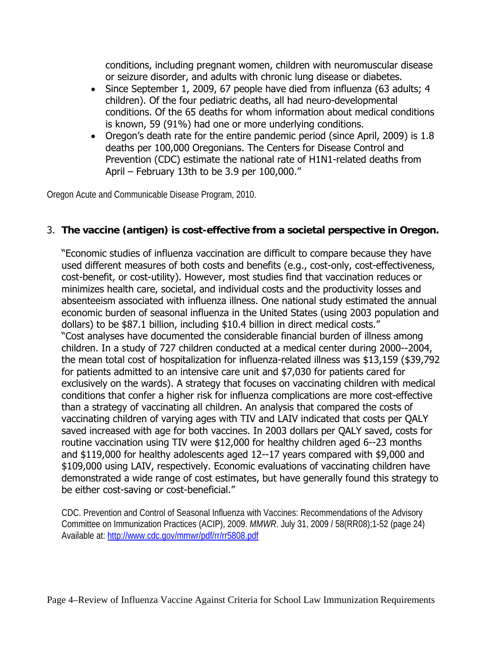conditions, including pregnant women, children with neuromuscular disease or seizure disorder, and adults with chronic lung disease or diabetes.

- Since September 1, 2009, 67 people have died from influenza (63 adults; 4 children). Of the four pediatric deaths, all had neuro-developmental conditions. Of the 65 deaths for whom information about medical conditions is known, 59 (91%) had one or more underlying conditions.
- Oregon's death rate for the entire pandemic period (since April, 2009) is 1.8 deaths per 100,000 Oregonians. The Centers for Disease Control and Prevention (CDC) estimate the national rate of H1N1-related deaths from April – February 13th to be 3.9 per 100,000."

Oregon Acute and Communicable Disease Program, 2010.

#### 3. **The vaccine (antigen) is cost-effective from a societal perspective in Oregon.**

"Economic studies of influenza vaccination are difficult to compare because they have used different measures of both costs and benefits (e.g., cost-only, cost-effectiveness, cost-benefit, or cost-utility). However, most studies find that vaccination reduces or minimizes health care, societal, and individual costs and the productivity losses and absenteeism associated with influenza illness. One national study estimated the annual economic burden of seasonal influenza in the United States (using 2003 population and dollars) to be \$87.1 billion, including \$10.4 billion in direct medical costs." "Cost analyses have documented the considerable financial burden of illness among children. In a study of 727 children conducted at a medical center during 2000--2004, the mean total cost of hospitalization for influenza-related illness was \$13,159 (\$39,792 for patients admitted to an intensive care unit and \$7,030 for patients cared for exclusively on the wards). A strategy that focuses on vaccinating children with medical conditions that confer a higher risk for influenza complications are more cost-effective than a strategy of vaccinating all children. An analysis that compared the costs of vaccinating children of varying ages with TIV and LAIV indicated that costs per QALY saved increased with age for both vaccines. In 2003 dollars per QALY saved, costs for routine vaccination using TIV were \$12,000 for healthy children aged 6--23 months and \$119,000 for healthy adolescents aged 12--17 years compared with \$9,000 and \$109,000 using LAIV, respectively. Economic evaluations of vaccinating children have demonstrated a wide range of cost estimates, but have generally found this strategy to be either cost-saving or cost-beneficial."

CDC. Prevention and Control of Seasonal Influenza with Vaccines: Recommendations of the Advisory Committee on Immunization Practices (ACIP), 2009. *MMWR*. July 31, 2009 / 58(RR08);1-52 (page 24) Available at: http://www.cdc.gov/mmwr/pdf/rr/rr5808.pdf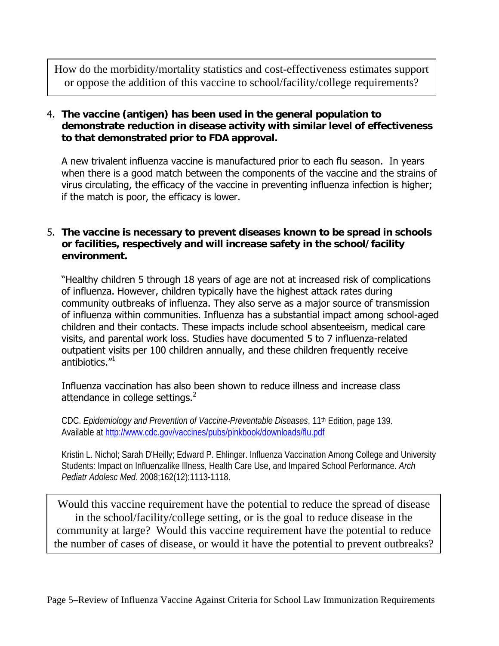How do the morbidity/mortality statistics and cost-effectiveness estimates support or oppose the addition of this vaccine to school/facility/college requirements?

#### 4. **The vaccine (antigen) has been used in the general population to demonstrate reduction in disease activity with similar level of effectiveness to that demonstrated prior to FDA approval.**

A new trivalent influenza vaccine is manufactured prior to each flu season. In years when there is a good match between the components of the vaccine and the strains of virus circulating, the efficacy of the vaccine in preventing influenza infection is higher; if the match is poor, the efficacy is lower.

#### 5. **The vaccine is necessary to prevent diseases known to be spread in schools or facilities, respectively and will increase safety in the school/facility environment.**

"Healthy children 5 through 18 years of age are not at increased risk of complications of influenza. However, children typically have the highest attack rates during community outbreaks of influenza. They also serve as a major source of transmission of influenza within communities. Influenza has a substantial impact among school-aged children and their contacts. These impacts include school absenteeism, medical care visits, and parental work loss. Studies have documented 5 to 7 influenza-related outpatient visits per 100 children annually, and these children frequently receive antibiotics."1

Influenza vaccination has also been shown to reduce illness and increase class attendance in college settings. $2^2$ 

CDC. *Epidemiology and Prevention of Vaccine-Preventable Diseases*, 11th Edition, page 139. Available at http://www.cdc.gov/vaccines/pubs/pinkbook/downloads/flu.pdf

Kristin L. Nichol; Sarah D'Heilly; Edward P. Ehlinger. Influenza Vaccination Among College and University Students: Impact on Influenzalike Illness, Health Care Use, and Impaired School Performance. *Arch Pediatr Adolesc Med*. 2008;162(12):1113-1118.

Would this vaccine requirement have the potential to reduce the spread of disease in the school/facility/college setting, or is the goal to reduce disease in the community at large? Would this vaccine requirement have the potential to reduce the number of cases of disease, or would it have the potential to prevent outbreaks?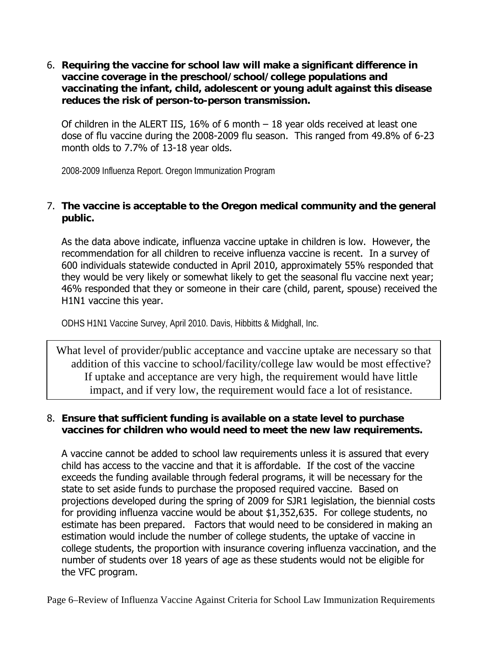6. **Requiring the vaccine for school law will make a significant difference in vaccine coverage in the preschool/school/college populations and vaccinating the infant, child, adolescent or young adult against this disease reduces the risk of person-to-person transmission.** 

Of children in the ALERT IIS, 16% of 6 month – 18 year olds received at least one dose of flu vaccine during the 2008-2009 flu season. This ranged from 49.8% of 6-23 month olds to 7.7% of 13-18 year olds.

2008-2009 Influenza Report. Oregon Immunization Program

#### 7. **The vaccine is acceptable to the Oregon medical community and the general public.**

As the data above indicate, influenza vaccine uptake in children is low. However, the recommendation for all children to receive influenza vaccine is recent. In a survey of 600 individuals statewide conducted in April 2010, approximately 55% responded that they would be very likely or somewhat likely to get the seasonal flu vaccine next year; 46% responded that they or someone in their care (child, parent, spouse) received the H1N1 vaccine this year.

ODHS H1N1 Vaccine Survey, April 2010. Davis, Hibbitts & Midghall, Inc.

What level of provider/public acceptance and vaccine uptake are necessary so that addition of this vaccine to school/facility/college law would be most effective? If uptake and acceptance are very high, the requirement would have little impact, and if very low, the requirement would face a lot of resistance.

#### 8. **Ensure that sufficient funding is available on a state level to purchase vaccines for children who would need to meet the new law requirements.**

A vaccine cannot be added to school law requirements unless it is assured that every child has access to the vaccine and that it is affordable. If the cost of the vaccine exceeds the funding available through federal programs, it will be necessary for the state to set aside funds to purchase the proposed required vaccine. Based on projections developed during the spring of 2009 for SJR1 legislation, the biennial costs for providing influenza vaccine would be about \$1,352,635. For college students, no estimate has been prepared. Factors that would need to be considered in making an estimation would include the number of college students, the uptake of vaccine in college students, the proportion with insurance covering influenza vaccination, and the number of students over 18 years of age as these students would not be eligible for the VFC program.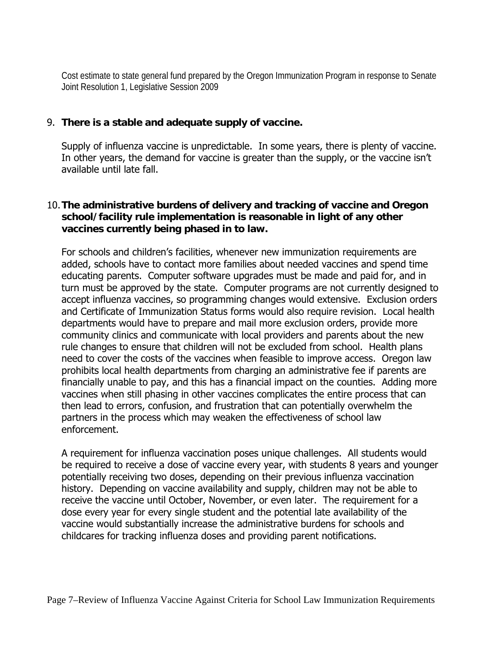Cost estimate to state general fund prepared by the Oregon Immunization Program in response to Senate Joint Resolution 1, Legislative Session 2009

#### 9. **There is a stable and adequate supply of vaccine.**

Supply of influenza vaccine is unpredictable. In some years, there is plenty of vaccine. In other years, the demand for vaccine is greater than the supply, or the vaccine isn't available until late fall.

#### 10.**The administrative burdens of delivery and tracking of vaccine and Oregon school/facility rule implementation is reasonable in light of any other vaccines currently being phased in to law.**

For schools and children's facilities, whenever new immunization requirements are added, schools have to contact more families about needed vaccines and spend time educating parents. Computer software upgrades must be made and paid for, and in turn must be approved by the state. Computer programs are not currently designed to accept influenza vaccines, so programming changes would extensive. Exclusion orders and Certificate of Immunization Status forms would also require revision. Local health departments would have to prepare and mail more exclusion orders, provide more community clinics and communicate with local providers and parents about the new rule changes to ensure that children will not be excluded from school. Health plans need to cover the costs of the vaccines when feasible to improve access. Oregon law prohibits local health departments from charging an administrative fee if parents are financially unable to pay, and this has a financial impact on the counties. Adding more vaccines when still phasing in other vaccines complicates the entire process that can then lead to errors, confusion, and frustration that can potentially overwhelm the partners in the process which may weaken the effectiveness of school law enforcement.

A requirement for influenza vaccination poses unique challenges. All students would be required to receive a dose of vaccine every year, with students 8 years and younger potentially receiving two doses, depending on their previous influenza vaccination history. Depending on vaccine availability and supply, children may not be able to receive the vaccine until October, November, or even later. The requirement for a dose every year for every single student and the potential late availability of the vaccine would substantially increase the administrative burdens for schools and childcares for tracking influenza doses and providing parent notifications.